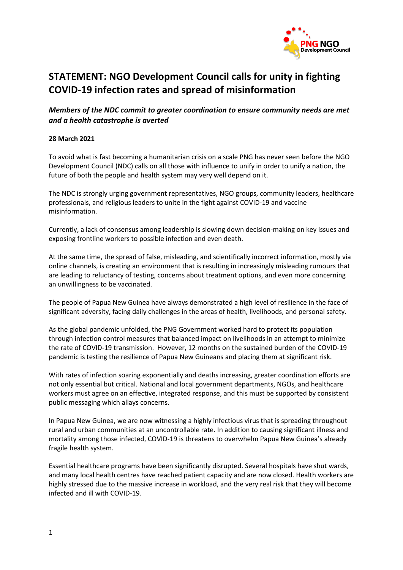

## **STATEMENT: NGO Development Council calls for unity in fighting COVID-19 infection rates and spread of misinformation**

## *Members of the NDC commit to greater coordination to ensure community needs are met and a health catastrophe is averted*

## **28 March 2021**

To avoid what is fast becoming a humanitarian crisis on a scale PNG has never seen before the NGO Development Council (NDC) calls on all those with influence to unify in order to unify a nation, the future of both the people and health system may very well depend on it.

The NDC is strongly urging government representatives, NGO groups, community leaders, healthcare professionals, and religious leaders to unite in the fight against COVID-19 and vaccine misinformation.

Currently, a lack of consensus among leadership is slowing down decision-making on key issues and exposing frontline workers to possible infection and even death.

At the same time, the spread of false, misleading, and scientifically incorrect information, mostly via online channels, is creating an environment that is resulting in increasingly misleading rumours that are leading to reluctancy of testing, concerns about treatment options, and even more concerning an unwillingness to be vaccinated.

The people of Papua New Guinea have always demonstrated a high level of resilience in the face of significant adversity, facing daily challenges in the areas of health, livelihoods, and personal safety.

As the global pandemic unfolded, the PNG Government worked hard to protect its population through infection control measures that balanced impact on livelihoods in an attempt to minimize the rate of COVID-19 transmission. However, 12 months on the sustained burden of the COVID-19 pandemic is testing the resilience of Papua New Guineans and placing them at significant risk.

With rates of infection soaring exponentially and deaths increasing, greater coordination efforts are not only essential but critical. National and local government departments, NGOs, and healthcare workers must agree on an effective, integrated response, and this must be supported by consistent public messaging which allays concerns.

In Papua New Guinea, we are now witnessing a highly infectious virus that is spreading throughout rural and urban communities at an uncontrollable rate. In addition to causing significant illness and mortality among those infected, COVID-19 is threatens to overwhelm Papua New Guinea's already fragile health system.

Essential healthcare programs have been significantly disrupted. Several hospitals have shut wards, and many local health centres have reached patient capacity and are now closed. Health workers are highly stressed due to the massive increase in workload, and the very real risk that they will become infected and ill with COVID-19.